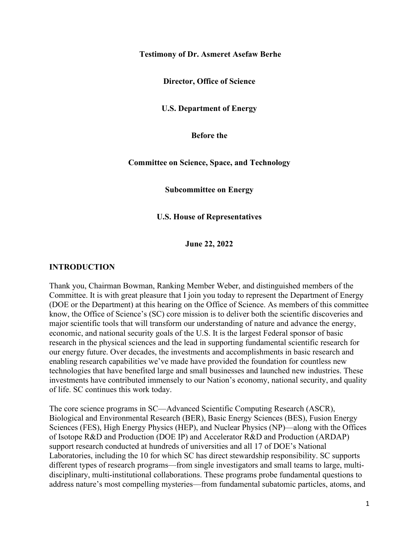#### **Testimony of Dr. Asmeret Asefaw Berhe**

**Director, Office of Science**

**U.S. Department of Energy**

**Before the** 

**Committee on Science, Space, and Technology** 

**Subcommittee on Energy**

**U.S. House of Representatives**

**June 22, 2022**

#### **INTRODUCTION**

Thank you, Chairman Bowman, Ranking Member Weber, and distinguished members of the Committee. It is with great pleasure that I join you today to represent the Department of Energy (DOE or the Department) at this hearing on the Office of Science. As members of this committee know, the Office of Science's (SC) core mission is to deliver both the scientific discoveries and major scientific tools that will transform our understanding of nature and advance the energy, economic, and national security goals of the U.S. It is the largest Federal sponsor of basic research in the physical sciences and the lead in supporting fundamental scientific research for our energy future. Over decades, the investments and accomplishments in basic research and enabling research capabilities we've made have provided the foundation for countless new technologies that have benefited large and small businesses and launched new industries. These investments have contributed immensely to our Nation's economy, national security, and quality of life. SC continues this work today.

The core science programs in SC—Advanced Scientific Computing Research (ASCR), Biological and Environmental Research (BER), Basic Energy Sciences (BES), Fusion Energy Sciences (FES), High Energy Physics (HEP), and Nuclear Physics (NP)—along with the Offices of Isotope R&D and Production (DOE IP) and Accelerator R&D and Production (ARDAP) support research conducted at hundreds of universities and all 17 of DOE's National Laboratories, including the 10 for which SC has direct stewardship responsibility. SC supports different types of research programs—from single investigators and small teams to large, multidisciplinary, multi-institutional collaborations. These programs probe fundamental questions to address nature's most compelling mysteries—from fundamental subatomic particles, atoms, and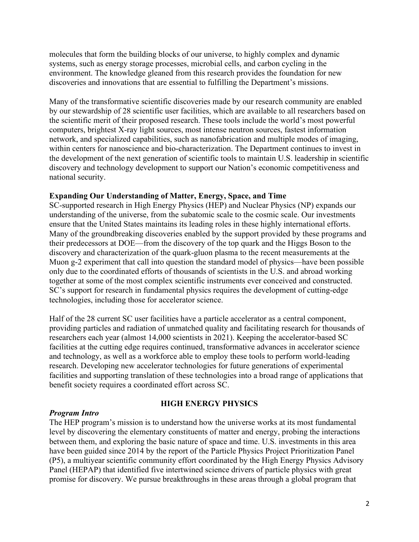molecules that form the building blocks of our universe, to highly complex and dynamic systems, such as energy storage processes, microbial cells, and carbon cycling in the environment. The knowledge gleaned from this research provides the foundation for new discoveries and innovations that are essential to fulfilling the Department's missions.

Many of the transformative scientific discoveries made by our research community are enabled by our stewardship of 28 scientific user facilities, which are available to all researchers based on the scientific merit of their proposed research. These tools include the world's most powerful computers, brightest X-ray light sources, most intense neutron sources, fastest information network, and specialized capabilities, such as nanofabrication and multiple modes of imaging, within centers for nanoscience and bio-characterization. The Department continues to invest in the development of the next generation of scientific tools to maintain U.S. leadership in scientific discovery and technology development to support our Nation's economic competitiveness and national security.

#### **Expanding Our Understanding of Matter, Energy, Space, and Time**

SC-supported research in High Energy Physics (HEP) and Nuclear Physics (NP) expands our understanding of the universe, from the subatomic scale to the cosmic scale. Our investments ensure that the United States maintains its leading roles in these highly international efforts. Many of the groundbreaking discoveries enabled by the support provided by these programs and their predecessors at DOE—from the discovery of the top quark and the Higgs Boson to the discovery and characterization of the quark-gluon plasma to the recent measurements at the Muon g-2 experiment that call into question the standard model of physics—have been possible only due to the coordinated efforts of thousands of scientists in the U.S. and abroad working together at some of the most complex scientific instruments ever conceived and constructed. SC's support for research in fundamental physics requires the development of cutting-edge technologies, including those for accelerator science.

Half of the 28 current SC user facilities have a particle accelerator as a central component, providing particles and radiation of unmatched quality and facilitating research for thousands of researchers each year (almost 14,000 scientists in 2021). Keeping the accelerator-based SC facilities at the cutting edge requires continued, transformative advances in accelerator science and technology, as well as a workforce able to employ these tools to perform world-leading research. Developing new accelerator technologies for future generations of experimental facilities and supporting translation of these technologies into a broad range of applications that benefit society requires a coordinated effort across SC.

#### *Program Intro*

#### **HIGH ENERGY PHYSICS**

The HEP program's mission is to understand how the universe works at its most fundamental level by discovering the elementary constituents of matter and energy, probing the interactions between them, and exploring the basic nature of space and time. U.S. investments in this area have been guided since 2014 by the report of the Particle Physics Project Prioritization Panel (P5), a multiyear scientific community effort coordinated by the High Energy Physics Advisory Panel (HEPAP) that identified five intertwined science drivers of particle physics with great promise for discovery. We pursue breakthroughs in these areas through a global program that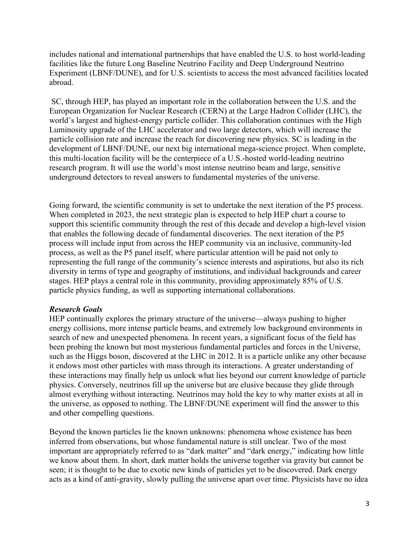includes national and international partnerships that have enabled the U.S. to host world-leading facilities like the future Long Baseline Neutrino Facility and Deep Underground Neutrino Experiment (LBNF/DUNE), and for U.S. scientists to access the most advanced facilities located abroad.

SC, through HEP, has played an important role in the collaboration between the U.S. and the European Organization for Nuclear Research (CERN) at the Large Hadron Collider (LHC), the world's largest and highest-energy particle collider. This collaboration continues with the High Luminosity upgrade of the LHC accelerator and two large detectors, which will increase the particle collision rate and increase the reach for discovering new physics. SC is leading in the development of LBNF/DUNE, our next big international mega-science project. When complete, this multi-location facility will be the centerpiece of a U.S.-hosted world-leading neutrino research program. It will use the world's most intense neutrino beam and large, sensitive underground detectors to reveal answers to fundamental mysteries of the universe.

Going forward, the scientific community is set to undertake the next iteration of the P5 process. When completed in 2023, the next strategic plan is expected to help HEP chart a course to support this scientific community through the rest of this decade and develop a high-level vision that enables the following decade of fundamental discoveries. The next iteration of the P5 process will include input from across the HEP community via an inclusive, community-led process, as well as the P5 panel itself, where particular attention will be paid not only to representing the full range of the community's science interests and aspirations, but also its rich diversity in terms of type and geography of institutions, and individual backgrounds and career stages. HEP plays a central role in this community, providing approximately 85% of U.S. particle physics funding, as well as supporting international collaborations.

## *Research Goals*

HEP continually explores the primary structure of the universe—always pushing to higher energy collisions, more intense particle beams, and extremely low background environments in search of new and unexpected phenomena. In recent years, a significant focus of the field has been probing the known but most mysterious fundamental particles and forces in the Universe, such as the Higgs boson, discovered at the LHC in 2012. It is a particle unlike any other because it endows most other particles with mass through its interactions. A greater understanding of these interactions may finally help us unlock what lies beyond our current knowledge of particle physics. Conversely, neutrinos fill up the universe but are elusive because they glide through almost everything without interacting. Neutrinos may hold the key to why matter exists at all in the universe, as opposed to nothing. The LBNF/DUNE experiment will find the answer to this and other compelling questions.

Beyond the known particles lie the known unknowns: phenomena whose existence has been inferred from observations, but whose fundamental nature is still unclear. Two of the most important are appropriately referred to as "dark matter" and "dark energy," indicating how little we know about them. In short, dark matter holds the universe together via gravity but cannot be seen; it is thought to be due to exotic new kinds of particles yet to be discovered. Dark energy acts as a kind of anti-gravity, slowly pulling the universe apart over time. Physicists have no idea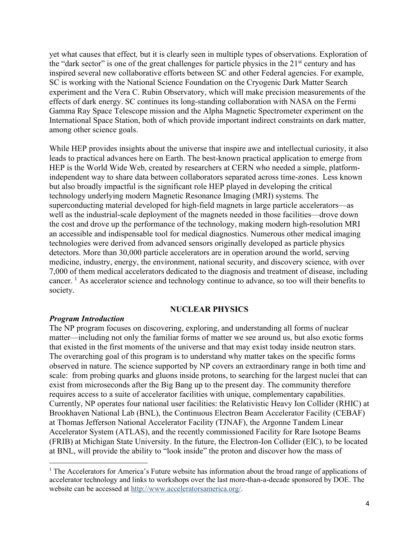yet what causes that effect*,* but it is clearly seen in multiple types of observations. Exploration of the "dark sector" is one of the great challenges for particle physics in the  $21<sup>st</sup>$  century and has inspired several new collaborative efforts between SC and other Federal agencies. For example, SC is working with the National Science Foundation on the Cryogenic Dark Matter Search experiment and the Vera C. Rubin Observatory, which will make precision measurements of the effects of dark energy. SC continues its long-standing collaboration with NASA on the Fermi Gamma Ray Space Telescope mission and the Alpha Magnetic Spectrometer experiment on the International Space Station, both of which provide important indirect constraints on dark matter, among other science goals.

While HEP provides insights about the universe that inspire awe and intellectual curiosity, it also leads to practical advances here on Earth. The best-known practical application to emerge from HEP is the World Wide Web, created by researchers at CERN who needed a simple, platformindependent way to share data between collaborators separated across time-zones. Less known but also broadly impactful is the significant role HEP played in developing the critical technology underlying modern Magnetic Resonance Imaging (MRI) systems. The superconducting material developed for high-field magnets in large particle accelerators—as well as the industrial-scale deployment of the magnets needed in those facilities—drove down the cost and drove up the performance of the technology, making modern high-resolution MRI an accessible and indispensable tool for medical diagnostics. Numerous other medical imaging technologies were derived from advanced sensors originally developed as particle physics detectors. More than 30,000 particle accelerators are in operation around the world, serving medicine, industry, energy, the environment, national security, and discovery science, with over 7,000 of them medical accelerators dedicated to the diagnosis and treatment of disease, including cancer. <sup>[1](#page-3-0)</sup> As accelerator science and technology continue to advance, so too will their benefits to society.

#### **NUCLEAR PHYSICS**

#### *Program Introduction*

The NP program focuses on discovering, exploring, and understanding all forms of nuclear matter—including not only the familiar forms of matter we see around us, but also exotic forms that existed in the first moments of the universe and that may exist today inside neutron stars. The overarching goal of this program is to understand why matter takes on the specific forms observed in nature. The science supported by NP covers an extraordinary range in both time and scale: from probing quarks and gluons inside protons, to searching for the largest nuclei that can exist from microseconds after the Big Bang up to the present day. The community therefore requires access to a suite of accelerator facilities with unique, complementary capabilities. Currently, NP operates four national user facilities: the Relativistic Heavy Ion Collider (RHIC) at Brookhaven National Lab (BNL), the Continuous Electron Beam Accelerator Facility (CEBAF) at Thomas Jefferson National Accelerator Facility (TJNAF), the Argonne Tandem Linear Accelerator System (ATLAS), and the recently commissioned Facility for Rare Isotope Beams (FRIB) at Michigan State University. In the future, the Electron-Ion Collider (EIC), to be located at BNL, will provide the ability to "look inside" the proton and discover how the mass of

<span id="page-3-0"></span><sup>&</sup>lt;sup>1</sup> The Accelerators for America's Future website has information about the broad range of applications of accelerator technology and links to workshops over the last more-than-a-decade sponsored by DOE. The website can be accessed at [http://www.acceleratorsamerica.org/.](http://www.acceleratorsamerica.org/)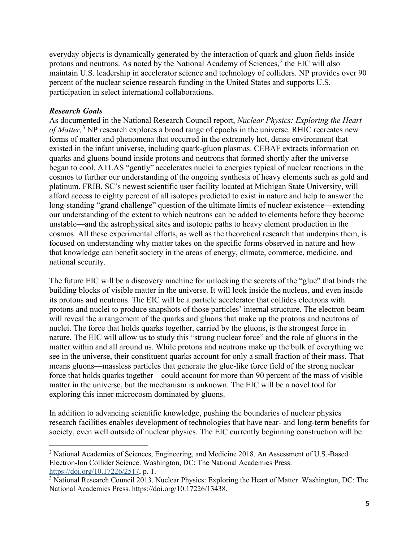everyday objects is dynamically generated by the interaction of quark and gluon fields inside protons and neutrons. As noted by the National Academy of Sciences, $<sup>2</sup>$  $<sup>2</sup>$  $<sup>2</sup>$  the EIC will also</sup> maintain U.S. leadership in accelerator science and technology of colliders. NP provides over 90 percent of the nuclear science research funding in the United States and supports U.S. participation in select international collaborations.

## *Research Goals*

As documented in the National Research Council report, *Nuclear Physics: Exploring the Heart of Matter,*[3](#page-4-1) NP research explores a broad range of epochs in the universe. RHIC recreates new forms of matter and phenomena that occurred in the extremely hot, dense environment that existed in the infant universe, including quark-gluon plasmas. CEBAF extracts information on quarks and gluons bound inside protons and neutrons that formed shortly after the universe began to cool. ATLAS "gently" accelerates nuclei to energies typical of nuclear reactions in the cosmos to further our understanding of the ongoing synthesis of heavy elements such as gold and platinum. FRIB, SC's newest scientific user facility located at Michigan State University, will afford access to eighty percent of all isotopes predicted to exist in nature and help to answer the long-standing "grand challenge" question of the ultimate limits of nuclear existence—extending our understanding of the extent to which neutrons can be added to elements before they become unstable—and the astrophysical sites and isotopic paths to heavy element production in the cosmos. All these experimental efforts, as well as the theoretical research that underpins them, is focused on understanding why matter takes on the specific forms observed in nature and how that knowledge can benefit society in the areas of energy, climate, commerce, medicine, and national security.

The future EIC will be a discovery machine for unlocking the secrets of the "glue" that binds the building blocks of visible matter in the universe. It will look inside the nucleus, and even inside its protons and neutrons. The EIC will be a particle accelerator that collides electrons with protons and nuclei to produce snapshots of those particles' internal structure. The electron beam will reveal the arrangement of the quarks and gluons that make up the protons and neutrons of nuclei. The force that holds quarks together, carried by the gluons, is the strongest force in nature. The EIC will allow us to study this "strong nuclear force" and the role of gluons in the matter within and all around us. While protons and neutrons make up the bulk of everything we see in the universe, their constituent quarks account for only a small fraction of their mass. That means gluons—massless particles that generate the glue-like force field of the strong nuclear force that holds quarks together—could account for more than 90 percent of the mass of visible matter in the universe, but the mechanism is unknown. The EIC will be a novel tool for exploring this inner microcosm dominated by gluons.

In addition to advancing scientific knowledge, pushing the boundaries of nuclear physics research facilities enables development of technologies that have near- and long-term benefits for society, even well outside of nuclear physics. The EIC currently beginning construction will be

<span id="page-4-0"></span><sup>&</sup>lt;sup>2</sup> National Academies of Sciences, Engineering, and Medicine 2018. An Assessment of U.S.-Based Electron-Ion Collider Science. Washington, DC: The National Academies Press. [https://doi.org/10.17226/2517,](https://doi.org/10.17226/2517) p. 1.

<span id="page-4-1"></span><sup>&</sup>lt;sup>3</sup> National Research Council 2013. Nuclear Physics: Exploring the Heart of Matter. Washington, DC: The National Academies Press. https://doi.org/10.17226/13438.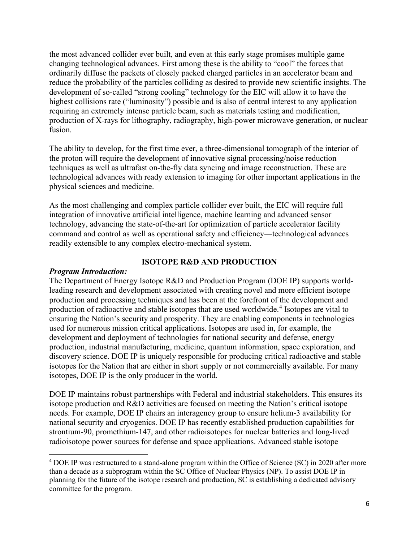the most advanced collider ever built, and even at this early stage promises multiple game changing technological advances. First among these is the ability to "cool" the forces that ordinarily diffuse the packets of closely packed charged particles in an accelerator beam and reduce the probability of the particles colliding as desired to provide new scientific insights. The development of so-called "strong cooling" technology for the EIC will allow it to have the highest collisions rate ("luminosity") possible and is also of central interest to any application requiring an extremely intense particle beam, such as materials testing and modification, production of X-rays for lithography, radiography, high-power microwave generation, or nuclear fusion.

The ability to develop, for the first time ever, a three-dimensional tomograph of the interior of the proton will require the development of innovative signal processing/noise reduction techniques as well as ultrafast on-the-fly data syncing and image reconstruction. These are technological advances with ready extension to imaging for other important applications in the physical sciences and medicine.

As the most challenging and complex particle collider ever built, the EIC will require full integration of innovative artificial intelligence, machine learning and advanced sensor technology, advancing the state-of-the-art for optimization of particle accelerator facility command and control as well as operational safety and efficiency―technological advances readily extensible to any complex electro-mechanical system.

## **ISOTOPE R&D AND PRODUCTION**

## *Program Introduction:*

The Department of Energy Isotope R&D and Production Program (DOE IP) supports worldleading research and development associated with creating novel and more efficient isotope production and processing techniques and has been at the forefront of the development and production of radioactive and stable isotopes that are used worldwide. [4](#page-5-0) Isotopes are vital to ensuring the Nation's security and prosperity. They are enabling components in technologies used for numerous mission critical applications. Isotopes are used in, for example, the development and deployment of technologies for national security and defense, energy production, industrial manufacturing, medicine, quantum information, space exploration, and discovery science. DOE IP is uniquely responsible for producing critical radioactive and stable isotopes for the Nation that are either in short supply or not commercially available. For many isotopes, DOE IP is the only producer in the world.

DOE IP maintains robust partnerships with Federal and industrial stakeholders. This ensures its isotope production and R&D activities are focused on meeting the Nation's critical isotope needs. For example, DOE IP chairs an interagency group to ensure helium-3 availability for national security and cryogenics. DOE IP has recently established production capabilities for strontium-90, promethium-147, and other radioisotopes for nuclear batteries and long-lived radioisotope power sources for defense and space applications. Advanced stable isotope

<span id="page-5-0"></span><sup>4</sup> DOE IP was restructured to a stand-alone program within the Office of Science (SC) in 2020 after more than a decade as a subprogram within the SC Office of Nuclear Physics (NP). To assist DOE IP in planning for the future of the isotope research and production, SC is establishing a dedicated advisory committee for the program.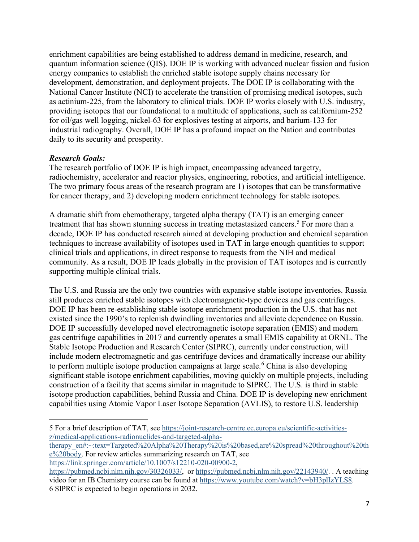enrichment capabilities are being established to address demand in medicine, research, and quantum information science (QIS). DOE IP is working with advanced nuclear fission and fusion energy companies to establish the enriched stable isotope supply chains necessary for development, demonstration, and deployment projects. The DOE IP is collaborating with the National Cancer Institute (NCI) to accelerate the transition of promising medical isotopes, such as actinium-225, from the laboratory to clinical trials. DOE IP works closely with U.S. industry, providing isotopes that our foundational to a multitude of applications, such as californium-252 for oil/gas well logging, nickel-63 for explosives testing at airports, and barium-133 for industrial radiography. Overall, DOE IP has a profound impact on the Nation and contributes daily to its security and prosperity.

## *Research Goals:*

The research portfolio of DOE IP is high impact, encompassing advanced targetry, radiochemistry, accelerator and reactor physics, engineering, robotics, and artificial intelligence. The two primary focus areas of the research program are 1) isotopes that can be transformative for cancer therapy, and 2) developing modern enrichment technology for stable isotopes.

A dramatic shift from chemotherapy, targeted alpha therapy (TAT) is an emerging cancer treatment that has shown stunning success in treating metastasized cancers. [5](#page-6-0) For more than a decade, DOE IP has conducted research aimed at developing production and chemical separation techniques to increase availability of isotopes used in TAT in large enough quantities to support clinical trials and applications, in direct response to requests from the NIH and medical community. As a result, DOE IP leads globally in the provision of TAT isotopes and is currently supporting multiple clinical trials.

The U.S. and Russia are the only two countries with expansive stable isotope inventories. Russia still produces enriched stable isotopes with electromagnetic-type devices and gas centrifuges. DOE IP has been re-establishing stable isotope enrichment production in the U.S. that has not existed since the 1990's to replenish dwindling inventories and alleviate dependence on Russia. DOE IP successfully developed novel electromagnetic isotope separation (EMIS) and modern gas centrifuge capabilities in 2017 and currently operates a small EMIS capability at ORNL. The Stable Isotope Production and Research Center (SIPRC), currently under construction, will include modern electromagnetic and gas centrifuge devices and dramatically increase our ability to perform multiple isotope production campaigns at large scale.<sup>[6](#page-6-1)</sup> China is also developing significant stable isotope enrichment capabilities, moving quickly on multiple projects, including construction of a facility that seems similar in magnitude to SIPRC. The U.S. is third in stable isotope production capabilities, behind Russia and China. DOE IP is developing new enrichment capabilities using Atomic Vapor Laser Isotope Separation (AVLIS), to restore U.S. leadership

[therapy\\_en#:~:text=Targeted%20Alpha%20Therapy%20is%20based,are%20spread%20throughout%20th](https://joint-research-centre.ec.europa.eu/scientific-activities-z/medical-applications-radionuclides-and-targeted-alpha-therapy_en#:%7E:text=Targeted%20Alpha%20Therapy%20is%20based,are%20spread%20throughout%20the%20body) [e%20body.](https://joint-research-centre.ec.europa.eu/scientific-activities-z/medical-applications-radionuclides-and-targeted-alpha-therapy_en#:%7E:text=Targeted%20Alpha%20Therapy%20is%20based,are%20spread%20throughout%20the%20body) For review articles summarizing research on TAT, see [https://link.springer.com/article/10.1007/s12210-020-00900-2,](https://link.springer.com/article/10.1007/s12210-020-00900-2)

<span id="page-6-0"></span><sup>5</sup> For a brief description of TAT, see [https://joint-research-centre.ec.europa.eu/scientific-activities](https://joint-research-centre.ec.europa.eu/scientific-activities-z/medical-applications-radionuclides-and-targeted-alpha-therapy_en#:%7E:text=Targeted%20Alpha%20Therapy%20is%20based,are%20spread%20throughout%20the%20body)[z/medical-applications-radionuclides-and-targeted-alpha-](https://joint-research-centre.ec.europa.eu/scientific-activities-z/medical-applications-radionuclides-and-targeted-alpha-therapy_en#:%7E:text=Targeted%20Alpha%20Therapy%20is%20based,are%20spread%20throughout%20the%20body)

<span id="page-6-1"></span>[https://pubmed.ncbi.nlm.nih.gov/30326033/,](https://pubmed.ncbi.nlm.nih.gov/30326033/) or [https://pubmed.ncbi.nlm.nih.gov/22143940/.](https://pubmed.ncbi.nlm.nih.gov/22143940/) . A teaching video for an IB Chemistry course can be found at [https://www.youtube.com/watch?v=bH3plIzYLS8.](https://www.youtube.com/watch?v=bH3plIzYLS8) 6 SIPRC is expected to begin operations in 2032.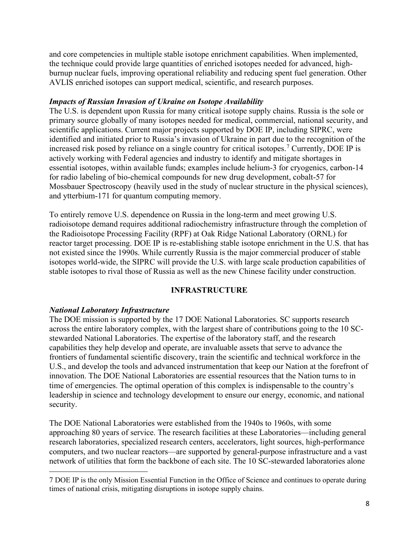and core competencies in multiple stable isotope enrichment capabilities. When implemented, the technique could provide large quantities of enriched isotopes needed for advanced, highburnup nuclear fuels, improving operational reliability and reducing spent fuel generation. Other AVLIS enriched isotopes can support medical, scientific, and research purposes.

## *Impacts of Russian Invasion of Ukraine on Isotope Availability*

The U.S. is dependent upon Russia for many critical isotope supply chains. Russia is the sole or primary source globally of many isotopes needed for medical, commercial, national security, and scientific applications. Current major projects supported by DOE IP, including SIPRC, were identified and initiated prior to Russia's invasion of Ukraine in part due to the recognition of the increased risk posed by reliance on a single country for critical isotopes.<sup>[7](#page-7-0)</sup> Currently, DOE IP is actively working with Federal agencies and industry to identify and mitigate shortages in essential isotopes, within available funds; examples include helium-3 for cryogenics, carbon-14 for radio labeling of bio-chemical compounds for new drug development, cobalt-57 for Mossbauer Spectroscopy (heavily used in the study of nuclear structure in the physical sciences), and ytterbium-171 for quantum computing memory.

To entirely remove U.S. dependence on Russia in the long-term and meet growing U.S. radioisotope demand requires additional radiochemistry infrastructure through the completion of the Radioisotope Processing Facility (RPF) at Oak Ridge National Laboratory (ORNL) for reactor target processing. DOE IP is re-establishing stable isotope enrichment in the U.S. that has not existed since the 1990s. While currently Russia is the major commercial producer of stable isotopes world-wide, the SIPRC will provide the U.S. with large scale production capabilities of stable isotopes to rival those of Russia as well as the new Chinese facility under construction.

## **INFRASTRUCTURE**

## *National Laboratory Infrastructure*

The DOE mission is supported by the 17 DOE National Laboratories. SC supports research across the entire laboratory complex, with the largest share of contributions going to the 10 SCstewarded National Laboratories. The expertise of the laboratory staff, and the research capabilities they help develop and operate, are invaluable assets that serve to advance the frontiers of fundamental scientific discovery, train the scientific and technical workforce in the U.S., and develop the tools and advanced instrumentation that keep our Nation at the forefront of innovation. The DOE National Laboratories are essential resources that the Nation turns to in time of emergencies. The optimal operation of this complex is indispensable to the country's leadership in science and technology development to ensure our energy, economic, and national security.

The DOE National Laboratories were established from the 1940s to 1960s, with some approaching 80 years of service. The research facilities at these Laboratories—including general research laboratories, specialized research centers, accelerators, light sources, high-performance computers, and two nuclear reactors—are supported by general-purpose infrastructure and a vast network of utilities that form the backbone of each site. The 10 SC-stewarded laboratories alone

<span id="page-7-0"></span><sup>7</sup> DOE IP is the only Mission Essential Function in the Office of Science and continues to operate during times of national crisis, mitigating disruptions in isotope supply chains.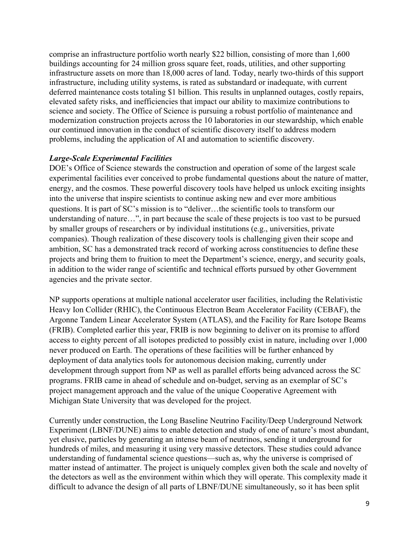comprise an infrastructure portfolio worth nearly \$22 billion, consisting of more than 1,600 buildings accounting for 24 million gross square feet, roads, utilities, and other supporting infrastructure assets on more than 18,000 acres of land. Today, nearly two-thirds of this support infrastructure, including utility systems, is rated as substandard or inadequate, with current deferred maintenance costs totaling \$1 billion. This results in unplanned outages, costly repairs, elevated safety risks, and inefficiencies that impact our ability to maximize contributions to science and society. The Office of Science is pursuing a robust portfolio of maintenance and modernization construction projects across the 10 laboratories in our stewardship, which enable our continued innovation in the conduct of scientific discovery itself to address modern problems, including the application of AI and automation to scientific discovery.

## *Large-Scale Experimental Facilities*

DOE's Office of Science stewards the construction and operation of some of the largest scale experimental facilities ever conceived to probe fundamental questions about the nature of matter, energy, and the cosmos. These powerful discovery tools have helped us unlock exciting insights into the universe that inspire scientists to continue asking new and ever more ambitious questions. It is part of SC's mission is to "deliver…the scientific tools to transform our understanding of nature…", in part because the scale of these projects is too vast to be pursued by smaller groups of researchers or by individual institutions (e.g., universities, private companies). Though realization of these discovery tools is challenging given their scope and ambition, SC has a demonstrated track record of working across constituencies to define these projects and bring them to fruition to meet the Department's science, energy, and security goals, in addition to the wider range of scientific and technical efforts pursued by other Government agencies and the private sector.

NP supports operations at multiple national accelerator user facilities, including the Relativistic Heavy Ion Collider (RHIC), the Continuous Electron Beam Accelerator Facility (CEBAF), the Argonne Tandem Linear Accelerator System (ATLAS), and the Facility for Rare Isotope Beams (FRIB). Completed earlier this year, FRIB is now beginning to deliver on its promise to afford access to eighty percent of all isotopes predicted to possibly exist in nature, including over 1,000 never produced on Earth. The operations of these facilities will be further enhanced by deployment of data analytics tools for autonomous decision making, currently under development through support from NP as well as parallel efforts being advanced across the SC programs. FRIB came in ahead of schedule and on-budget, serving as an exemplar of SC's project management approach and the value of the unique Cooperative Agreement with Michigan State University that was developed for the project.

Currently under construction, the Long Baseline Neutrino Facility/Deep Underground Network Experiment (LBNF/DUNE) aims to enable detection and study of one of nature's most abundant, yet elusive, particles by generating an intense beam of neutrinos, sending it underground for hundreds of miles, and measuring it using very massive detectors. These studies could advance understanding of fundamental science questions—such as, why the universe is comprised of matter instead of antimatter. The project is uniquely complex given both the scale and novelty of the detectors as well as the environment within which they will operate. This complexity made it difficult to advance the design of all parts of LBNF/DUNE simultaneously, so it has been split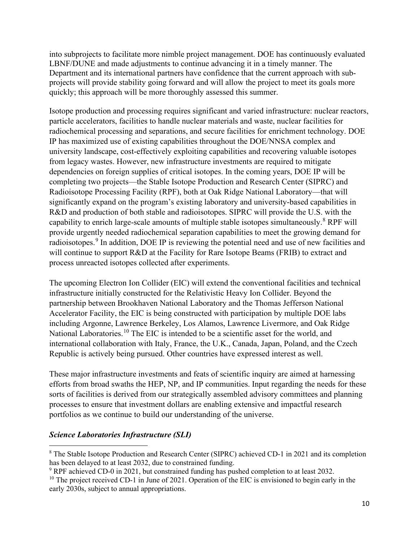into subprojects to facilitate more nimble project management. DOE has continuously evaluated LBNF/DUNE and made adjustments to continue advancing it in a timely manner. The Department and its international partners have confidence that the current approach with subprojects will provide stability going forward and will allow the project to meet its goals more quickly; this approach will be more thoroughly assessed this summer.

Isotope production and processing requires significant and varied infrastructure: nuclear reactors, particle accelerators, facilities to handle nuclear materials and waste, nuclear facilities for radiochemical processing and separations, and secure facilities for enrichment technology. DOE IP has maximized use of existing capabilities throughout the DOE/NNSA complex and university landscape, cost-effectively exploiting capabilities and recovering valuable isotopes from legacy wastes. However, new infrastructure investments are required to mitigate dependencies on foreign supplies of critical isotopes. In the coming years, DOE IP will be completing two projects—the Stable Isotope Production and Research Center (SIPRC) and Radioisotope Processing Facility (RPF), both at Oak Ridge National Laboratory—that will significantly expand on the program's existing laboratory and university-based capabilities in R&D and production of both stable and radioisotopes. SIPRC will provide the U.S. with the capability to enrich large-scale amounts of multiple stable isotopes simultaneously.[8](#page-9-0) RPF will provide urgently needed radiochemical separation capabilities to meet the growing demand for radioisotopes.<sup>[9](#page-9-1)</sup> In addition, DOE IP is reviewing the potential need and use of new facilities and will continue to support R&D at the Facility for Rare Isotope Beams (FRIB) to extract and process unreacted isotopes collected after experiments.

The upcoming Electron Ion Collider (EIC) will extend the conventional facilities and technical infrastructure initially constructed for the Relativistic Heavy Ion Collider. Beyond the partnership between Brookhaven National Laboratory and the Thomas Jefferson National Accelerator Facility, the EIC is being constructed with participation by multiple DOE labs including Argonne, Lawrence Berkeley, Los Alamos, Lawrence Livermore, and Oak Ridge National Laboratories.<sup>[10](#page-9-2)</sup> The EIC is intended to be a scientific asset for the world, and international collaboration with Italy, France, the U.K., Canada, Japan, Poland, and the Czech Republic is actively being pursued. Other countries have expressed interest as well.

These major infrastructure investments and feats of scientific inquiry are aimed at harnessing efforts from broad swaths the HEP, NP, and IP communities. Input regarding the needs for these sorts of facilities is derived from our strategically assembled advisory committees and planning processes to ensure that investment dollars are enabling extensive and impactful research portfolios as we continue to build our understanding of the universe.

## *Science Laboratories Infrastructure (SLI)*

<span id="page-9-0"></span><sup>8</sup> The Stable Isotope Production and Research Center (SIPRC) achieved CD-1 in 2021 and its completion has been delayed to at least 2032, due to constrained funding.

<span id="page-9-1"></span><sup>9</sup> RPF achieved CD-0 in 2021, but constrained funding has pushed completion to at least 2032.

<span id="page-9-2"></span> $10$  The project received CD-1 in June of 2021. Operation of the EIC is envisioned to begin early in the early 2030s, subject to annual appropriations.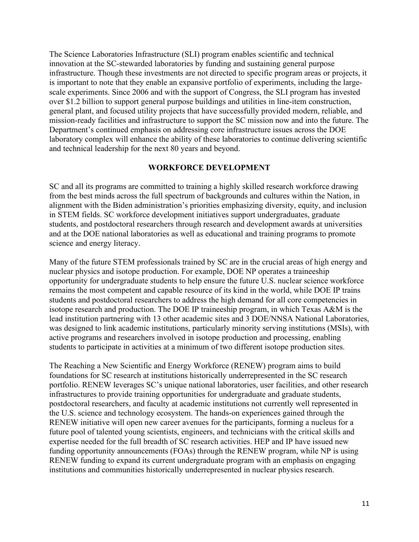The Science Laboratories Infrastructure (SLI) program enables scientific and technical innovation at the SC-stewarded laboratories by funding and sustaining general purpose infrastructure. Though these investments are not directed to specific program areas or projects, it is important to note that they enable an expansive portfolio of experiments, including the largescale experiments. Since 2006 and with the support of Congress, the SLI program has invested over \$1.2 billion to support general purpose buildings and utilities in line-item construction, general plant, and focused utility projects that have successfully provided modern, reliable, and mission-ready facilities and infrastructure to support the SC mission now and into the future. The Department's continued emphasis on addressing core infrastructure issues across the DOE laboratory complex will enhance the ability of these laboratories to continue delivering scientific and technical leadership for the next 80 years and beyond.

#### **WORKFORCE DEVELOPMENT**

SC and all its programs are committed to training a highly skilled research workforce drawing from the best minds across the full spectrum of backgrounds and cultures within the Nation, in alignment with the Biden administration's priorities emphasizing diversity, equity, and inclusion in STEM fields. SC workforce development initiatives support undergraduates, graduate students, and postdoctoral researchers through research and development awards at universities and at the DOE national laboratories as well as educational and training programs to promote science and energy literacy.

Many of the future STEM professionals trained by SC are in the crucial areas of high energy and nuclear physics and isotope production. For example, DOE NP operates a traineeship opportunity for undergraduate students to help ensure the future U.S. nuclear science workforce remains the most competent and capable resource of its kind in the world, while DOE IP trains students and postdoctoral researchers to address the high demand for all core competencies in isotope research and production. The DOE IP traineeship program, in which Texas A&M is the lead institution partnering with 13 other academic sites and 3 DOE/NNSA National Laboratories, was designed to link academic institutions, particularly minority serving institutions (MSIs), with active programs and researchers involved in isotope production and processing, enabling students to participate in activities at a minimum of two different isotope production sites.

The Reaching a New Scientific and Energy Workforce (RENEW) program aims to build foundations for SC research at institutions historically underrepresented in the SC research portfolio. RENEW leverages SC's unique national laboratories, user facilities, and other research infrastructures to provide training opportunities for undergraduate and graduate students, postdoctoral researchers, and faculty at academic institutions not currently well represented in the U.S. science and technology ecosystem. The hands-on experiences gained through the RENEW initiative will open new career avenues for the participants, forming a nucleus for a future pool of talented young scientists, engineers, and technicians with the critical skills and expertise needed for the full breadth of SC research activities. HEP and IP have issued new funding opportunity announcements (FOAs) through the RENEW program, while NP is using RENEW funding to expand its current undergraduate program with an emphasis on engaging institutions and communities historically underrepresented in nuclear physics research.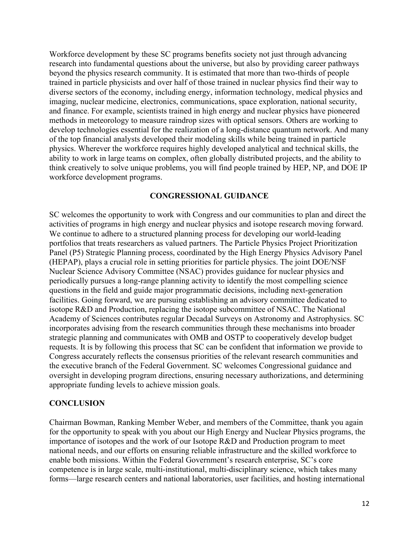Workforce development by these SC programs benefits society not just through advancing research into fundamental questions about the universe, but also by providing career pathways beyond the physics research community. It is estimated that more than two-thirds of people trained in particle physicists and over half of those trained in nuclear physics find their way to diverse sectors of the economy, including energy, information technology, medical physics and imaging, nuclear medicine, electronics, communications, space exploration, national security, and finance. For example, scientists trained in high energy and nuclear physics have pioneered methods in meteorology to measure raindrop sizes with optical sensors. Others are working to develop technologies essential for the realization of a long-distance quantum network. And many of the top financial analysts developed their modeling skills while being trained in particle physics. Wherever the workforce requires highly developed analytical and technical skills, the ability to work in large teams on complex, often globally distributed projects, and the ability to think creatively to solve unique problems, you will find people trained by HEP, NP, and DOE IP workforce development programs.

#### **CONGRESSIONAL GUIDANCE**

SC welcomes the opportunity to work with Congress and our communities to plan and direct the activities of programs in high energy and nuclear physics and isotope research moving forward. We continue to adhere to a structured planning process for developing our world-leading portfolios that treats researchers as valued partners. The Particle Physics Project Prioritization Panel (P5) Strategic Planning process, coordinated by the High Energy Physics Advisory Panel (HEPAP), plays a crucial role in setting priorities for particle physics. The joint DOE/NSF Nuclear Science Advisory Committee (NSAC) provides guidance for nuclear physics and periodically pursues a long-range planning activity to identify the most compelling science questions in the field and guide major programmatic decisions, including next-generation facilities. Going forward, we are pursuing establishing an advisory committee dedicated to isotope R&D and Production, replacing the isotope subcommittee of NSAC. The National Academy of Sciences contributes regular Decadal Surveys on Astronomy and Astrophysics. SC incorporates advising from the research communities through these mechanisms into broader strategic planning and communicates with OMB and OSTP to cooperatively develop budget requests. It is by following this process that SC can be confident that information we provide to Congress accurately reflects the consensus priorities of the relevant research communities and the executive branch of the Federal Government. SC welcomes Congressional guidance and oversight in developing program directions, ensuring necessary authorizations, and determining appropriate funding levels to achieve mission goals.

#### **CONCLUSION**

Chairman Bowman, Ranking Member Weber, and members of the Committee, thank you again for the opportunity to speak with you about our High Energy and Nuclear Physics programs, the importance of isotopes and the work of our Isotope R&D and Production program to meet national needs, and our efforts on ensuring reliable infrastructure and the skilled workforce to enable both missions. Within the Federal Government's research enterprise, SC's core competence is in large scale, multi-institutional, multi-disciplinary science, which takes many forms—large research centers and national laboratories, user facilities, and hosting international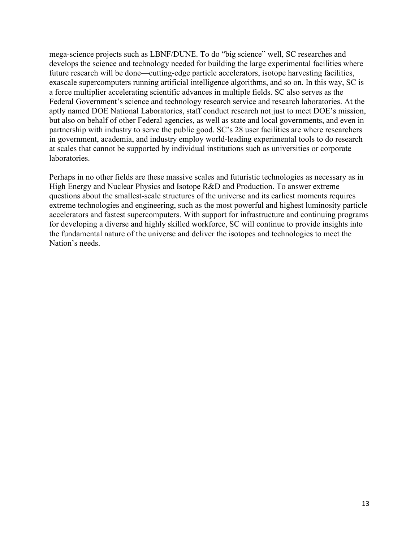mega-science projects such as LBNF/DUNE. To do "big science" well, SC researches and develops the science and technology needed for building the large experimental facilities where future research will be done—cutting-edge particle accelerators, isotope harvesting facilities, exascale supercomputers running artificial intelligence algorithms, and so on. In this way, SC is a force multiplier accelerating scientific advances in multiple fields. SC also serves as the Federal Government's science and technology research service and research laboratories. At the aptly named DOE National Laboratories, staff conduct research not just to meet DOE's mission, but also on behalf of other Federal agencies, as well as state and local governments, and even in partnership with industry to serve the public good. SC's 28 user facilities are where researchers in government, academia, and industry employ world-leading experimental tools to do research at scales that cannot be supported by individual institutions such as universities or corporate laboratories.

Perhaps in no other fields are these massive scales and futuristic technologies as necessary as in High Energy and Nuclear Physics and Isotope R&D and Production. To answer extreme questions about the smallest-scale structures of the universe and its earliest moments requires extreme technologies and engineering, such as the most powerful and highest luminosity particle accelerators and fastest supercomputers. With support for infrastructure and continuing programs for developing a diverse and highly skilled workforce, SC will continue to provide insights into the fundamental nature of the universe and deliver the isotopes and technologies to meet the Nation's needs.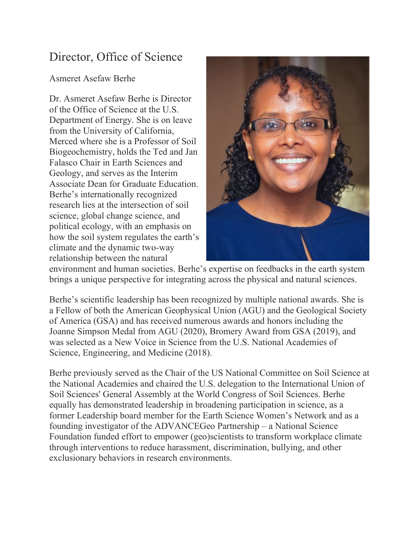# Director, Office of Science

## Asmeret Asefaw Berhe

Dr. Asmeret Asefaw Berhe is Director of the Office of Science at the U.S. Department of Energy. She is on leave from the University of California, Merced where she is a Professor of Soil Biogeochemistry, holds the Ted and Jan Falasco Chair in Earth Sciences and Geology, and serves as the Interim Associate Dean for Graduate Education. Berhe's internationally recognized research lies at the intersection of soil science, global change science, and political ecology, with an emphasis on how the soil system regulates the earth's climate and the dynamic two-way relationship between the natural



environment and human societies. Berhe's expertise on feedbacks in the earth system brings a unique perspective for integrating across the physical and natural sciences.

Berhe's scientific leadership has been recognized by multiple national awards. She is a Fellow of both the American Geophysical Union (AGU) and the Geological Society of America (GSA) and has received numerous awards and honors including the Joanne Simpson Medal from AGU (2020), Bromery Award from GSA (2019), and was selected as a New Voice in Science from the U.S. National Academies of Science, Engineering, and Medicine (2018).

Berhe previously served as the Chair of the US National Committee on Soil Science at the National Academies and chaired the U.S. delegation to the International Union of Soil Sciences' General Assembly at the World Congress of Soil Sciences. Berhe equally has demonstrated leadership in broadening participation in science, as a former Leadership board member for the Earth Science Women's Network and as a founding investigator of the ADVANCEGeo Partnership – a National Science Foundation funded effort to empower (geo)scientists to transform workplace climate through interventions to reduce harassment, discrimination, bullying, and other exclusionary behaviors in research environments.